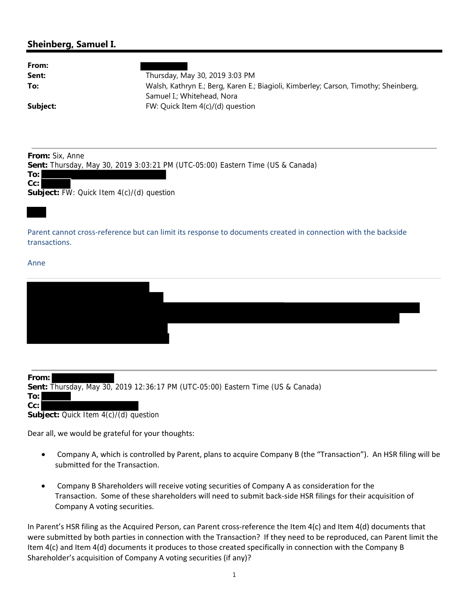## **Sheinberg, Samuel I.**

| Thursday, May 30, 2019 3:03 PM                                                      |
|-------------------------------------------------------------------------------------|
| Walsh, Kathryn E.; Berg, Karen E.; Biagioli, Kimberley; Carson, Timothy; Sheinberg, |
| Samuel I.; Whitehead, Nora                                                          |
| FW: Quick Item $4(c)/(d)$ question                                                  |
|                                                                                     |

**From:** Six, Anne

**Sent:** Thursday, May 30, 2019 3:03:21 PM (UTC-05:00) Eastern Time (US & Canada)

**To: Cc:**

**Subject:** FW: Quick Item 4(c)/(d) question

Parent cannot cross‐reference but can limit its response to documents created in connection with the backside transactions.

Anne

| From: l |                                                                                 |
|---------|---------------------------------------------------------------------------------|
|         | Sent: Thursday, May 30, 2019 12:36:17 PM (UTC-05:00) Eastern Time (US & Canada) |
| To:     |                                                                                 |
| Cc:     |                                                                                 |

**Subject:** Quick Item 4(c)/(d) question

Dear all, we would be grateful for your thoughts:

- Company A, which is controlled by Parent, plans to acquire Company B (the "Transaction"). An HSR filing will be submitted for the Transaction.
- Company B Shareholders will receive voting securities of Company A as consideration for the Transaction. Some of these shareholders will need to submit back‐side HSR filings for their acquisition of Company A voting securities.

In Parent's HSR filing as the Acquired Person, can Parent cross-reference the Item 4(c) and Item 4(d) documents that were submitted by both parties in connection with the Transaction? If they need to be reproduced, can Parent limit the Item 4(c) and Item 4(d) documents it produces to those created specifically in connection with the Company B Shareholder's acquisition of Company A voting securities (if any)?